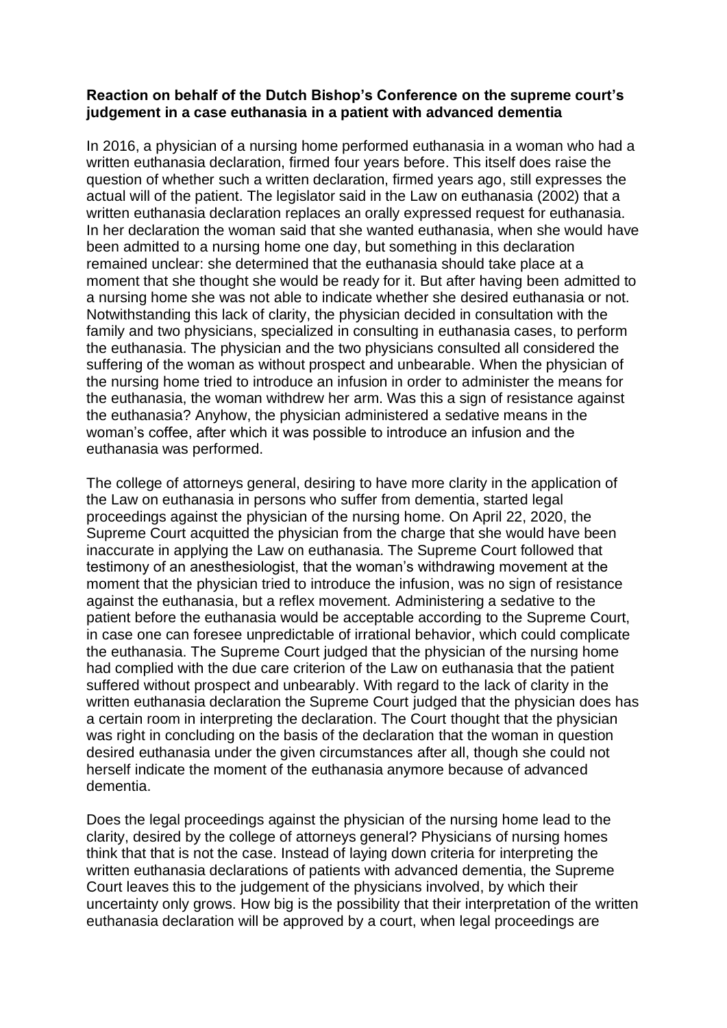## **Reaction on behalf of the Dutch Bishop's Conference on the supreme court's judgement in a case euthanasia in a patient with advanced dementia**

In 2016, a physician of a nursing home performed euthanasia in a woman who had a written euthanasia declaration, firmed four years before. This itself does raise the question of whether such a written declaration, firmed years ago, still expresses the actual will of the patient. The legislator said in the Law on euthanasia (2002) that a written euthanasia declaration replaces an orally expressed request for euthanasia. In her declaration the woman said that she wanted euthanasia, when she would have been admitted to a nursing home one day, but something in this declaration remained unclear: she determined that the euthanasia should take place at a moment that she thought she would be ready for it. But after having been admitted to a nursing home she was not able to indicate whether she desired euthanasia or not. Notwithstanding this lack of clarity, the physician decided in consultation with the family and two physicians, specialized in consulting in euthanasia cases, to perform the euthanasia. The physician and the two physicians consulted all considered the suffering of the woman as without prospect and unbearable. When the physician of the nursing home tried to introduce an infusion in order to administer the means for the euthanasia, the woman withdrew her arm. Was this a sign of resistance against the euthanasia? Anyhow, the physician administered a sedative means in the woman's coffee, after which it was possible to introduce an infusion and the euthanasia was performed.

The college of attorneys general, desiring to have more clarity in the application of the Law on euthanasia in persons who suffer from dementia, started legal proceedings against the physician of the nursing home. On April 22, 2020, the Supreme Court acquitted the physician from the charge that she would have been inaccurate in applying the Law on euthanasia. The Supreme Court followed that testimony of an anesthesiologist, that the woman's withdrawing movement at the moment that the physician tried to introduce the infusion, was no sign of resistance against the euthanasia, but a reflex movement. Administering a sedative to the patient before the euthanasia would be acceptable according to the Supreme Court, in case one can foresee unpredictable of irrational behavior, which could complicate the euthanasia. The Supreme Court judged that the physician of the nursing home had complied with the due care criterion of the Law on euthanasia that the patient suffered without prospect and unbearably. With regard to the lack of clarity in the written euthanasia declaration the Supreme Court judged that the physician does has a certain room in interpreting the declaration. The Court thought that the physician was right in concluding on the basis of the declaration that the woman in question desired euthanasia under the given circumstances after all, though she could not herself indicate the moment of the euthanasia anymore because of advanced dementia.

Does the legal proceedings against the physician of the nursing home lead to the clarity, desired by the college of attorneys general? Physicians of nursing homes think that that is not the case. Instead of laying down criteria for interpreting the written euthanasia declarations of patients with advanced dementia, the Supreme Court leaves this to the judgement of the physicians involved, by which their uncertainty only grows. How big is the possibility that their interpretation of the written euthanasia declaration will be approved by a court, when legal proceedings are